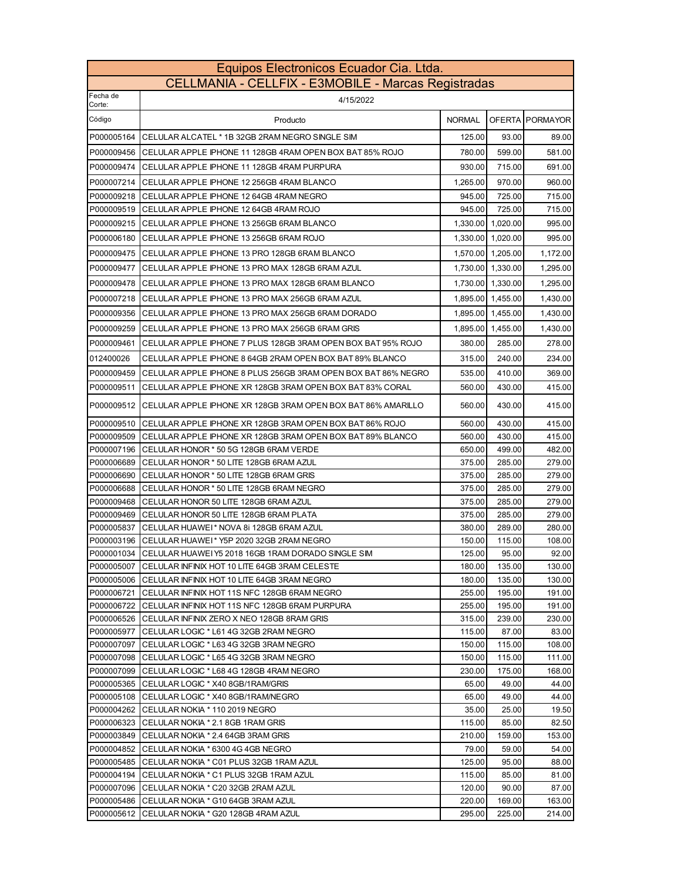| Equipos Electronicos Ecuador Cia. Ltda.             |                                                                                                         |                  |                   |                  |
|-----------------------------------------------------|---------------------------------------------------------------------------------------------------------|------------------|-------------------|------------------|
| CELLMANIA - CELLFIX - E3MOBILE - Marcas Registradas |                                                                                                         |                  |                   |                  |
| Fecha de<br>Corte:                                  | 4/15/2022                                                                                               |                  |                   |                  |
| Código                                              | Producto                                                                                                | <b>NORMAL</b>    |                   | OFERTA PORMAYOR  |
| P000005164                                          | CELULAR ALCATEL * 1B 32GB 2RAM NEGRO SINGLE SIM                                                         | 125.00           | 93.00             | 89.00            |
| P000009456                                          | CELULAR APPLE IPHONE 11 128GB 4RAM OPEN BOX BAT 85% ROJO                                                | 780.00           | 599.00            | 581.00           |
| P000009474                                          | CELULAR APPLE IPHONE 11 128GB 4RAM PURPURA                                                              | 930.00           | 715.00            | 691.00           |
| P000007214                                          | CELULAR APPLE IPHONE 12 256GB 4RAM BLANCO                                                               | 1.265.00         | 970.00            | 960.00           |
| P000009218                                          | CELULAR APPLE IPHONE 12 64GB 4RAM NEGRO                                                                 | 945.00           | 725.00            | 715.00           |
| P000009519                                          | CELULAR APPLE IPHONE 12 64GB 4RAM ROJO                                                                  | 945.00           | 725.00            | 715.00           |
| P000009215                                          | CELULAR APPLE IPHONE 13 256GB 6RAM BLANCO                                                               |                  | 1,330.00 1,020.00 | 995.00           |
| P000006180                                          | CELULAR APPLE IPHONE 13 256GB 6RAM ROJO                                                                 | 1,330.00         | 1,020.00          | 995.00           |
| P000009475                                          | CELULAR APPLE IPHONE 13 PRO 128GB 6RAM BLANCO                                                           | 1,570.00         | 1,205.00          | 1,172.00         |
| P000009477                                          | CELULAR APPLE IPHONE 13 PRO MAX 128GB 6RAM AZUL                                                         | 1,730.00         | 1,330.00          | 1,295.00         |
|                                                     |                                                                                                         |                  |                   |                  |
| P000009478                                          | CELULAR APPLE IPHONE 13 PRO MAX 128GB 6RAM BLANCO                                                       | 1,730.00         | 1,330.00          | 1,295.00         |
| P000007218                                          | CELULAR APPLE IPHONE 13 PRO MAX 256GB 6RAM AZUL                                                         | 1,895.00         | 1,455.00          | 1,430.00         |
| P000009356                                          | CELULAR APPLE IPHONE 13 PRO MAX 256GB 6RAM DORADO                                                       | 1,895.00         | 1,455.00          | 1,430.00         |
| P000009259                                          | CELULAR APPLE IPHONE 13 PRO MAX 256GB 6RAM GRIS                                                         |                  | 1,895.00 1,455.00 | 1,430.00         |
| P000009461                                          | CELULAR APPLE IPHONE 7 PLUS 128GB 3RAM OPEN BOX BAT 95% ROJO                                            | 380.00           | 285.00            | 278.00           |
| 012400026                                           | CELULAR APPLE IPHONE 8 64GB 2RAM OPEN BOX BAT 89% BLANCO                                                | 315.00           | 240.00            | 234.00           |
| P000009459                                          | CELULAR APPLE IPHONE 8 PLUS 256GB 3RAM OPEN BOX BAT 86% NEGRO                                           | 535.00           | 410.00            | 369.00           |
| P000009511                                          | CELULAR APPLE IPHONE XR 128GB 3RAM OPEN BOX BAT 83% CORAL                                               | 560.00           | 430.00            | 415.00           |
| P000009512                                          | CELULAR APPLE IPHONE XR 128GB 3RAM OPEN BOX BAT 86% AMARILLO                                            | 560.00           | 430.00            | 415.00           |
| P000009510                                          | CELULAR APPLE IPHONE XR 128GB 3RAM OPEN BOX BAT 86% ROJO                                                | 560.00           | 430.00            | 415.00           |
| P000009509                                          | CELULAR APPLE IPHONE XR 128GB 3RAM OPEN BOX BAT 89% BLANCO                                              | 560.00           | 430.00            | 415.00           |
| P000007196                                          | CELULAR HONOR * 50 5G 128GB 6RAM VERDE                                                                  | 650.00           | 499.00            | 482.00           |
| P000006689                                          | CELULAR HONOR * 50 LITE 128GB 6RAM AZUL                                                                 | 375.00           | 285.00            | 279.00           |
| P000006690                                          | CELULAR HONOR * 50 LITE 128GB 6RAM GRIS                                                                 | 375.00           | 285.00            | 279.00           |
| P000006688                                          | CELULAR HONOR * 50 LITE 128GB 6RAM NEGRO                                                                | 375.00           | 285.00            | 279.00           |
| P000009468                                          | CELULAR HONOR 50 LITE 128GB 6RAM AZUL                                                                   | 375.00           | 285.00            | 279.00           |
| P000009469                                          | CELULAR HONOR 50 LITE 128GB 6RAM PLATA                                                                  | 375.00           | 285.00            | 279.00           |
| P000005837                                          | CELULAR HUAWEI* NOVA 8i 128GB 6RAM AZUL                                                                 | 380.00           | 289.00            | 280.00           |
|                                                     | P000003196 CELULAR HUAWEI* Y5P 2020 32GB 2RAM NEGRO                                                     | 150.00           | 115.00            | 108.00           |
|                                                     | P000001034 CELULAR HUAWEI Y5 2018 16GB 1RAM DORADO SINGLE SIM                                           | 125.00           | 95.00             | 92.00            |
| P000005007                                          | CELULAR INFINIX HOT 10 LITE 64GB 3RAM CELESTE<br>P000005006 CELULAR INFINIX HOT 10 LITE 64GB 3RAM NEGRO | 180.00<br>180.00 | 135.00<br>135.00  | 130.00<br>130.00 |
| P000006721                                          | CELULAR INFINIX HOT 11S NFC 128GB 6RAM NEGRO                                                            | 255.00           | 195.00            | 191.00           |
| P000006722                                          | CELULAR INFINIX HOT 11S NFC 128GB 6RAM PURPURA                                                          | 255.00           | 195.00            | 191.00           |
| P000006526                                          | CELULAR INFINIX ZERO X NEO 128GB 8RAM GRIS                                                              | 315.00           | 239.00            | 230.00           |
| P000005977                                          | CELULAR LOGIC * L61 4G 32GB 2RAM NEGRO                                                                  | 115.00           | 87.00             | 83.00            |
| P000007097                                          | CELULAR LOGIC * L63 4G 32GB 3RAM NEGRO                                                                  | 150.00           | 115.00            | 108.00           |
| P000007098                                          | CELULAR LOGIC * L65 4G 32GB 3RAM NEGRO                                                                  | 150.00           | 115.00            | 111.00           |
| P000007099                                          | CELULAR LOGIC * L68 4G 128GB 4RAM NEGRO                                                                 | 230.00           | 175.00            | 168.00           |
| P000005365                                          | CELULAR LOGIC * X40 8GB/1RAM/GRIS                                                                       | 65.00            | 49.00             | 44.00            |
| P000005108                                          | CELULAR LOGIC * X40 8GB/1RAM/NEGRO                                                                      | 65.00            | 49.00             | 44.00            |
| P000004262                                          | CELULAR NOKIA * 110 2019 NEGRO                                                                          | 35.00            | 25.00             | 19.50            |
| P000006323                                          | CELULAR NOKIA * 2.1 8GB 1RAM GRIS                                                                       | 115.00           | 85.00             | 82.50            |
| P000003849                                          | CELULAR NOKIA * 2.4 64GB 3RAM GRIS                                                                      | 210.00           | 159.00            | 153.00           |
| P000004852                                          | CELULAR NOKIA * 6300 4G 4GB NEGRO                                                                       | 79.00            | 59.00             | 54.00            |
| P000005485                                          | CELULAR NOKIA * C01 PLUS 32GB 1RAM AZUL                                                                 | 125.00           | 95.00             | 88.00            |
| P000004194                                          | CELULAR NOKIA * C1 PLUS 32GB 1RAM AZUL                                                                  | 115.00           | 85.00             | 81.00            |
| P000007096                                          | CELULAR NOKIA * C20 32GB 2RAM AZUL                                                                      | 120.00           | 90.00             | 87.00            |
| P000005486                                          | CELULAR NOKIA * G10 64GB 3RAM AZUL                                                                      | 220.00           | 169.00            | 163.00           |
| P000005612                                          | CELULAR NOKIA * G20 128GB 4RAM AZUL                                                                     | 295.00           | 225.00            | 214.00           |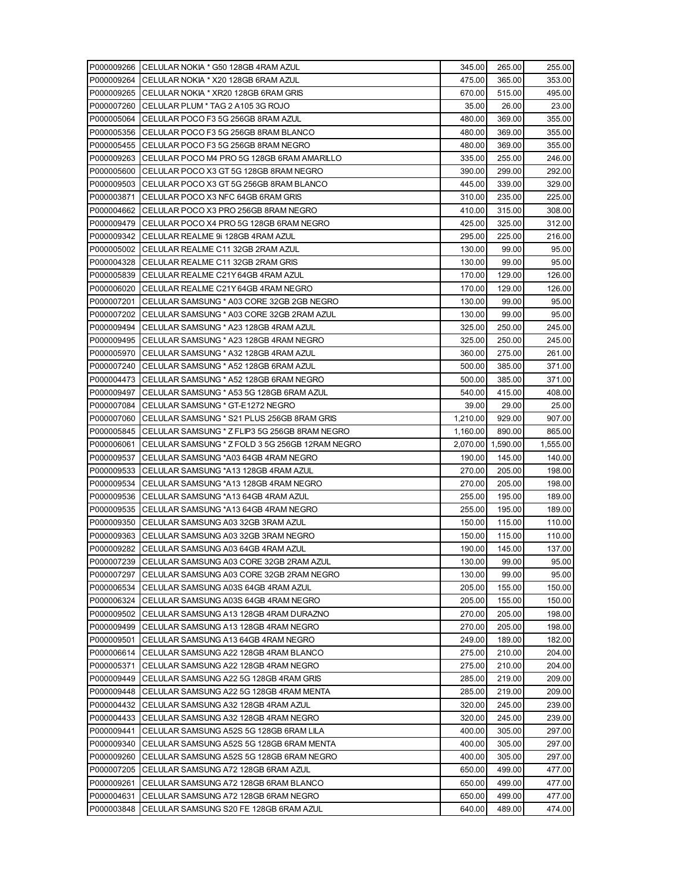|                          | P000009266 CELULAR NOKIA * G50 128GB 4RAM AZUL                                 | 345.00           | 265.00            | 255.00                               |
|--------------------------|--------------------------------------------------------------------------------|------------------|-------------------|--------------------------------------|
| P000009264               | CELULAR NOKIA * X20 128GB 6RAM AZUL                                            | 475.00           | 365.00            | 353.00                               |
| P000009265               | CELULAR NOKIA * XR20 128GB 6RAM GRIS                                           | 670.00           | 515.00            | 495.00                               |
| P000007260               | CELULAR PLUM * TAG 2 A105 3G ROJO                                              | 35.00            | 26.00             | 23.00                                |
| P000005064               | CELULAR POCO F3 5G 256GB 8RAM AZUL                                             | 480.00           | 369.00            | 355.00                               |
| P000005356               | CELULAR POCO F3 5G 256GB 8RAM BLANCO                                           | 480.00           | 369.00            | 355.00                               |
| P000005455               | CELULAR POCO F3 5G 256GB 8RAM NEGRO                                            | 480.00           | 369.00            | 355.00                               |
| P000009263               | CELULAR POCO M4 PRO 5G 128GB 6RAM AMARILLO                                     | 335.00           | 255.00            | 246.00                               |
| P000005600               | CELULAR POCO X3 GT 5G 128GB 8RAM NEGRO                                         | 390.00           | 299.00            | 292.00                               |
| P000009503               | CELULAR POCO X3 GT 5G 256GB 8RAM BLANCO                                        | 445.00           | 339.00            | 329.00                               |
| P000003871               | CELULAR POCO X3 NFC 64GB 6RAM GRIS                                             | 310.00           | 235.00            | 225.00                               |
| P000004662               | CELULAR POCO X3 PRO 256GB 8RAM NEGRO                                           | 410.00           | 315.00            | 308.00                               |
| P000009479               | CELULAR POCO X4 PRO 5G 128GB 6RAM NEGRO                                        | 425.00           | 325.00            | 312.00                               |
| P000009342               | CELULAR REALME 9i 128GB 4RAM AZUL                                              | 295.00           | 225.00            | 216.00                               |
|                          | P000005002   CELULAR REALME C11 32GB 2RAM AZUL                                 | 130.00           | 99.00             | 95.00                                |
| P000004328               | CELULAR REALME C11 32GB 2RAM GRIS                                              | 130.00           | 99.00             | 95.00                                |
| P000005839               | CELULAR REALME C21Y 64GB 4RAM AZUL                                             | 170.00           | 129.00            | 126.00                               |
| P000006020               | CELULAR REALME C21Y 64GB 4RAM NEGRO                                            | 170.00           | 129.00            | 126.00                               |
| P000007201               | CELULAR SAMSUNG * A03 CORE 32GB 2GB NEGRO                                      | 130.00           | 99.00             | 95.00                                |
| P000007202               | ICELULAR SAMSUNG * A03 CORE 32GB 2RAM AZUL                                     | 130.00           | 99.00             | 95.00                                |
| P000009494               | CELULAR SAMSUNG * A23 128GB 4RAM AZUL                                          | 325.00           | 250.00            | 245.00                               |
| P000009495               | CELULAR SAMSUNG * A23 128GB 4RAM NEGRO                                         | 325.00           | 250.00            | 245.00                               |
| P000005970               | CELULAR SAMSUNG * A32 128GB 4RAM AZUL                                          | 360.00           | 275.00            | 261.00                               |
| P000007240               | CELULAR SAMSUNG * A52 128GB 6RAM AZUL                                          | 500.00           | 385.00            | 371.00                               |
| P000004473               | CELULAR SAMSUNG * A52 128GB 6RAM NEGRO                                         | 500.00           | 385.00            | 371.00                               |
| P000009497               | CELULAR SAMSUNG * A53 5G 128GB 6RAM AZUL                                       | 540.00           | 415.00            | 408.00                               |
| P000007084               | CELULAR SAMSUNG * GT-E1272 NEGRO                                               | 39.00            | 29.00             | 25.00                                |
| P000007060               | CELULAR SAMSUNG * S21 PLUS 256GB 8RAM GRIS                                     | 1,210.00         | 929.00            | 907.00                               |
| P000005845               | CELULAR SAMSUNG * Z FLIP3 5G 256GB 8RAM NEGRO                                  | 1,160.00         | 890.00            | 865.00                               |
| P000006061               | CELULAR SAMSUNG * Z FOLD 3 5G 256GB 12RAM NEGRO                                |                  | 2,070.00 1,590.00 | 1,555.00                             |
| P000009537               | CELULAR SAMSUNG *A03 64GB 4RAM NEGRO                                           | 190.00           | 145.00            | 140.00                               |
| P000009533               | CELULAR SAMSUNG *A13 128GB 4RAM AZUL                                           | 270.00           | 205.00            | 198.00                               |
| P000009534               | CELULAR SAMSUNG *A13 128GB 4RAM NEGRO                                          | 270.00           | 205.00            | 198.00                               |
| P000009536               | CELULAR SAMSUNG *A13 64GB 4RAM AZUL                                            | 255.00           | 195.00            | 189.00                               |
| P000009535               | CELULAR SAMSUNG *A13 64GB 4RAM NEGRO                                           | 255.00           | 195.00            | 189.00                               |
| P000009350               | CELULAR SAMSUNG A03 32GB 3RAM AZUL                                             | 150.00           | 115.00            |                                      |
| P000009363               | CELULAR SAMSUNG A03 32GB 3RAM NEGRO                                            |                  |                   |                                      |
|                          |                                                                                | 150.00           | 115.00            |                                      |
|                          | P000009282 CELULAR SAMSUNG A03 64GB 4RAM AZUL                                  | 190.00           | 145.00            | 110.00                               |
|                          | P000007239 CELULAR SAMSUNG A03 CORE 32GB 2RAM AZUL                             | 130.00           | 99.00             |                                      |
| P000007297               | CELULAR SAMSUNG A03 CORE 32GB 2RAM NEGRO                                       | 130.00           | 99.00             | 95.00<br>95.00                       |
| P000006534               | CELULAR SAMSUNG A03S 64GB 4RAM AZUL                                            | 205.00           | 155.00            | 150.00                               |
| P000006324               | CELULAR SAMSUNG A03S 64GB 4RAM NEGRO                                           | 205.00           | 155.00            | 150.00                               |
| P000009502               | CELULAR SAMSUNG A13 128GB 4RAM DURAZNO                                         | 270.00           | 205.00            | 198.00                               |
| P000009499               | CELULAR SAMSUNG A13 128GB 4RAM NEGRO                                           | 270.00           | 205.00            | 198.00                               |
| P000009501               | CELULAR SAMSUNG A13 64GB 4RAM NEGRO                                            | 249.00           | 189.00            | 182.00                               |
| P000006614               | CELULAR SAMSUNG A22 128GB 4RAM BLANCO                                          | 275.00           | 210.00            | 204.00                               |
| P000005371               | CELULAR SAMSUNG A22 128GB 4RAM NEGRO                                           | 275.00           | 210.00            | 204.00                               |
| P000009449               | CELULAR SAMSUNG A22 5G 128GB 4RAM GRIS                                         | 285.00           | 219.00            | 209.00                               |
| P000009448               | CELULAR SAMSUNG A22 5G 128GB 4RAM MENTA                                        | 285.00           | 219.00            | 209.00                               |
| P000004432               | CELULAR SAMSUNG A32 128GB 4RAM AZUL                                            | 320.00           | 245.00            | 239.00                               |
| P000004433               | CELULAR SAMSUNG A32 128GB 4RAM NEGRO                                           | 320.00           | 245.00            | 239.00                               |
| P000009441               | CELULAR SAMSUNG A52S 5G 128GB 6RAM LILA                                        | 400.00           | 305.00            |                                      |
| P000009340               | CELULAR SAMSUNG A52S 5G 128GB 6RAM MENTA                                       | 400.00           | 305.00            |                                      |
| P000009260               | CELULAR SAMSUNG A52S 5G 128GB 6RAM NEGRO                                       | 400.00           | 305.00            | 297.00<br>297.00<br>297.00           |
| P000007205               | CELULAR SAMSUNG A72 128GB 6RAM AZUL                                            | 650.00           | 499.00            | 477.00                               |
| P000009261               | CELULAR SAMSUNG A72 128GB 6RAM BLANCO                                          | 650.00           | 499.00            | 477.00                               |
| P000004631<br>P000003848 | CELULAR SAMSUNG A72 128GB 6RAM NEGRO<br>CELULAR SAMSUNG S20 FE 128GB 6RAM AZUL | 650.00<br>640.00 | 499.00<br>489.00  | 110.00<br>137.00<br>477.00<br>474.00 |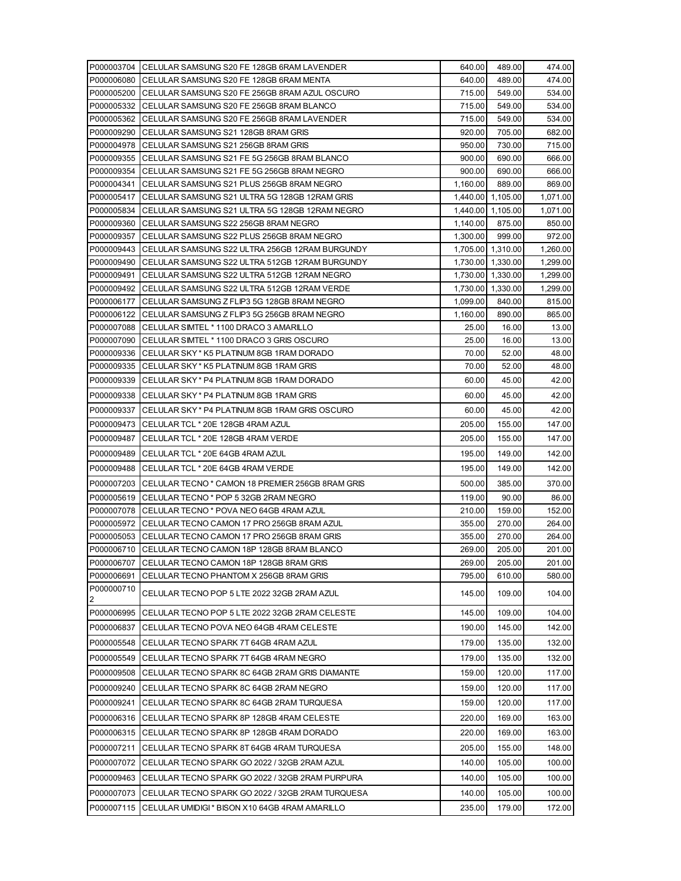|                          | P000003704 CELULAR SAMSUNG S20 FE 128GB 6RAM LAVENDER                                                                     | 640.00   | 489.00                                 | 474.00               |
|--------------------------|---------------------------------------------------------------------------------------------------------------------------|----------|----------------------------------------|----------------------|
| P000006080               | CELULAR SAMSUNG S20 FE 128GB 6RAM MENTA                                                                                   | 640.00   | 489.00                                 | 474.00               |
|                          | P000005200 CELULAR SAMSUNG S20 FE 256GB 8RAM AZUL OSCURO                                                                  | 715.00   | 549.00                                 | 534.00               |
|                          | P000005332 CELULAR SAMSUNG S20 FE 256GB 8RAM BLANCO                                                                       | 715.00   | 549.00                                 | 534.00               |
| P000005362               | CELULAR SAMSUNG S20 FE 256GB 8RAM LAVENDER                                                                                | 715.00   | 549.00                                 | 534.00               |
| P000009290               | CELULAR SAMSUNG S21 128GB 8RAM GRIS                                                                                       | 920.00   | 705.00                                 | 682.00               |
|                          | P000004978 CELULAR SAMSUNG S21 256GB 8RAM GRIS                                                                            | 950.00   | 730.00                                 | 715.00               |
|                          | P000009355 CELULAR SAMSUNG S21 FE 5G 256GB 8RAM BLANCO                                                                    | 900.00   | 690.00                                 | 666.00               |
|                          | P000009354 CELULAR SAMSUNG S21 FE 5G 256GB 8RAM NEGRO                                                                     | 900.00   | 690.00                                 | 666.00               |
| P000004341               | CELULAR SAMSUNG S21 PLUS 256GB 8RAM NEGRO                                                                                 | 1,160.00 | 889.00                                 | 869.00               |
| P000005417               | ICELULAR SAMSUNG S21 ULTRA 5G 128GB 12RAM GRIS                                                                            |          | 1,440.00 1,105.00                      | 1,071.00             |
| P000005834               | CELULAR SAMSUNG S21 ULTRA 5G 128GB 12RAM NEGRO                                                                            |          | 1,440.00 1,105.00                      | 1,071.00             |
| P000009360               | CELULAR SAMSUNG S22 256GB 8RAM NEGRO                                                                                      | 1,140.00 | 875.00                                 | 850.00               |
| P000009357               | CELULAR SAMSUNG S22 PLUS 256GB 8RAM NEGRO                                                                                 | 1,300.00 | 999.00                                 | 972.00               |
|                          | P000009443   CELULAR SAMSUNG S22 ULTRA 256GB 12RAM BURGUNDY<br>P000009490 ICELULAR SAMSUNG S22 ULTRA 512GB 12RAM BURGUNDY |          | 1,705.00 1,310.00<br>1,730.00 1,330.00 | 1,260.00<br>1,299.00 |
| P000009491               | CELULAR SAMSUNG S22 ULTRA 512GB 12RAM NEGRO                                                                               |          | 1,730.00 1,330.00                      | 1,299.00             |
|                          | P000009492 CELULAR SAMSUNG S22 ULTRA 512GB 12RAM VERDE                                                                    |          | 1,730.00 1,330.00                      | 1,299.00             |
| P000006177               | CELULAR SAMSUNG Z FLIP3 5G 128GB 8RAM NEGRO                                                                               | 1,099.00 | 840.00                                 | 815.00               |
| P000006122               | CELULAR SAMSUNG Z FLIP3 5G 256GB 8RAM NEGRO                                                                               | 1,160.00 | 890.00                                 | 865.00               |
| P000007088               | CELULAR SIMTEL * 1100 DRACO 3 AMARILLO                                                                                    | 25.00    | 16.00                                  | 13.00                |
| P000007090               | CELULAR SIMTEL * 1100 DRACO 3 GRIS OSCURO                                                                                 | 25.00    | 16.00                                  | 13.00                |
|                          | P000009336 CELULAR SKY* K5 PLATINUM 8GB 1RAM DORADO                                                                       | 70.00    | 52.00                                  | 48.00                |
| P000009335               | CELULAR SKY* K5 PLATINUM 8GB 1RAM GRIS                                                                                    | 70.00    | 52.00                                  | 48.00                |
| P000009339               | CELULAR SKY* P4 PLATINUM 8GB 1RAM DORADO                                                                                  | 60.00    | 45.00                                  | 42.00                |
| P000009338               | ICELULAR SKY * P4 PLATINUM 8GB 1RAM GRIS                                                                                  | 60.00    | 45.00                                  | 42.00                |
| P000009337               | CELULAR SKY * P4 PLATINUM 8GB 1RAM GRIS OSCURO                                                                            | 60.00    | 45.00                                  | 42.00                |
| P000009473               | CELULAR TCL * 20E 128GB 4RAM AZUL                                                                                         | 205.00   | 155.00                                 | 147.00               |
| P000009487               | CELULAR TCL * 20E 128GB 4RAM VERDE                                                                                        | 205.00   | 155.00                                 | 147.00               |
|                          |                                                                                                                           |          |                                        |                      |
| P000009489               | CELULAR TCL * 20E 64GB 4RAM AZUL                                                                                          | 195.00   | 149.00                                 | 142.00               |
| P000009488               | CELULAR TCL * 20E 64GB 4RAM VERDE                                                                                         | 195.00   | 149.00                                 | 142.00               |
| P000007203               | CELULAR TECNO * CAMON 18 PREMIER 256GB 8RAM GRIS                                                                          | 500.00   | 385.00                                 | 370.00               |
| P000005619               | CELULAR TECNO * POP 5 32GB 2RAM NEGRO                                                                                     | 119.00   | 90.00                                  | 86.00                |
| P000007078               | CELULAR TECNO * POVA NEO 64GB 4RAM AZUL                                                                                   | 210.00   | 159.00                                 | 152.00               |
| P000005972               | CELULAR TECNO CAMON 17 PRO 256GB 8RAM AZUL                                                                                | 355.00   | 270.00                                 | 264.00               |
| P000005053               | CELULAR TECNO CAMON 17 PRO 256GB 8RAM GRIS                                                                                | 355.00   | 270.00                                 | 264.00               |
|                          | P000006710 CELULAR TECNO CAMON 18P 128GB 8RAM BLANCO                                                                      | 269.00   | 205.00                                 | 201.00               |
| P000006707               | CELULAR TECNO CAMON 18P 128GB 8RAM GRIS                                                                                   | 269.00   | 205.00                                 | 201.00               |
| P000006691<br>P000000710 | CELULAR TECNO PHANTOM X 256GB 8RAM GRIS                                                                                   | 795.00   | 610.00                                 | 580.00               |
| 2                        | CELULAR TECNO POP 5 LTE 2022 32GB 2RAM AZUL                                                                               | 145.00   | 109.00                                 | 104.00               |
| P000006995               | CELULAR TECNO POP 5 LTE 2022 32GB 2RAM CELESTE                                                                            | 145.00   | 109.00                                 | 104.00               |
| P000006837               | CELULAR TECNO POVA NEO 64GB 4RAM CELESTE                                                                                  | 190.00   | 145.00                                 | 142.00               |
| P000005548               | CELULAR TECNO SPARK 7T 64GB 4RAM AZUL                                                                                     | 179.00   | 135.00                                 | 132.00               |
| P000005549               | CELULAR TECNO SPARK 7T 64GB 4RAM NEGRO                                                                                    | 179.00   | 135.00                                 | 132.00               |
| P000009508               | CELULAR TECNO SPARK 8C 64GB 2RAM GRIS DIAMANTE                                                                            | 159.00   | 120.00                                 | 117.00               |
| P000009240               | CELULAR TECNO SPARK 8C 64GB 2RAM NEGRO                                                                                    | 159.00   | 120.00                                 | 117.00               |
| P000009241               | CELULAR TECNO SPARK 8C 64GB 2RAM TURQUESA                                                                                 | 159.00   | 120.00                                 | 117.00               |
|                          |                                                                                                                           |          |                                        |                      |
| P000006316               | CELULAR TECNO SPARK 8P 128GB 4RAM CELESTE                                                                                 | 220.00   | 169.00                                 | 163.00               |
| P000006315               | CELULAR TECNO SPARK 8P 128GB 4RAM DORADO                                                                                  | 220.00   | 169.00                                 | 163.00               |
| P000007211               | CELULAR TECNO SPARK 8T 64GB 4RAM TURQUESA                                                                                 | 205.00   | 155.00                                 | 148.00               |
| P000007072               | CELULAR TECNO SPARK GO 2022 / 32GB 2RAM AZUL                                                                              | 140.00   | 105.00                                 | 100.00               |
| P000009463               | CELULAR TECNO SPARK GO 2022 / 32GB 2RAM PURPURA                                                                           | 140.00   | 105.00                                 | 100.00               |
| P000007073               | CELULAR TECNO SPARK GO 2022 / 32GB 2RAM TURQUESA                                                                          | 140.00   | 105.00                                 | 100.00               |
| P000007115               | CELULAR UMIDIGI * BISON X10 64GB 4RAM AMARILLO                                                                            | 235.00   | 179.00                                 | 172.00               |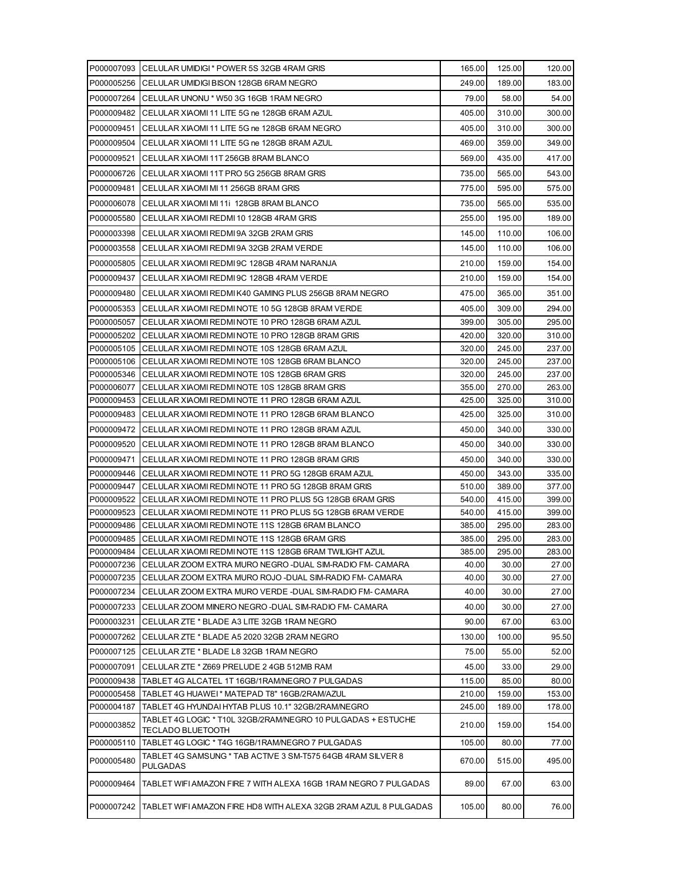|                          | P000007093 CELULAR UMIDIGI * POWER 5S 32GB 4RAM GRIS                                                       | 165.00           | 125.00           | 120.00           |
|--------------------------|------------------------------------------------------------------------------------------------------------|------------------|------------------|------------------|
|                          | P000005256 CELULAR UMIDIGI BISON 128GB 6RAM NEGRO                                                          | 249.00           | 189.00           | 183.00           |
|                          | P000007264 CELULAR UNONU * W50 3G 16GB 1RAM NEGRO                                                          | 79.00            | 58.00            | 54.00            |
| P000009482               | CELULAR XIAOMI 11 LITE 5G ne 128GB 6RAM AZUL                                                               | 405.00           | 310.00           | 300.00           |
| P000009451               | CELULAR XIAOMI 11 LITE 5G ne 128GB 6RAM NEGRO                                                              | 405.00           | 310.00           | 300.00           |
| P000009504               | CELULAR XIAOMI 11 LITE 5G ne 128GB 8RAM AZUL                                                               | 469.00           | 359.00           | 349.00           |
| P000009521               | CELULAR XIAOMI 11T 256GB 8RAM BLANCO                                                                       | 569.00           | 435.00           | 417.00           |
| P000006726               | CELULAR XIAOMI 11T PRO 5G 256GB 8RAM GRIS                                                                  | 735.00           | 565.00           | 543.00           |
| P000009481               | CELULAR XIAOMI MI 11 256GB 8RAM GRIS                                                                       | 775.00           | 595.00           | 575.00           |
| P000006078               |                                                                                                            | 735.00           |                  | 535.00           |
|                          | CELULAR XIAOMI MI 11i 128GB 8RAM BLANCO                                                                    |                  | 565.00           |                  |
| P000005580               | CELULAR XIAOMI REDMI 10 128GB 4RAM GRIS                                                                    | 255.00           | 195.00           | 189.00           |
| P000003398               | CELULAR XIAOMI REDMI 9A 32GB 2RAM GRIS                                                                     | 145.00           | 110.00           | 106.00           |
| P000003558               | CELULAR XIAOMI REDMI 9A 32GB 2RAM VERDE                                                                    | 145.00           | 110.00           | 106.00           |
| P000005805               | CELULAR XIAOMI REDMI 9C 128GB 4RAM NARANJA                                                                 | 210.00           | 159.00           | 154.00           |
| P000009437               | CELULAR XIAOMI REDMI 9C 128GB 4RAM VERDE                                                                   | 210.00           | 159.00           | 154.00           |
| P000009480               | CELULAR XIAOMI REDMI K40 GAMING PLUS 256GB 8RAM NEGRO                                                      | 475.00           | 365.00           | 351.00           |
| P000005353               | CELULAR XIAOMI REDMI NOTE 10 5G 128GB 8RAM VERDE                                                           | 405.00           | 309.00           | 294.00           |
| P000005057               | CELULAR XIAOMI REDMI NOTE 10 PRO 128GB 6RAM AZUL                                                           | 399.00           | 305.00           | 295.00           |
| P000005202               | CELULAR XIAOMI REDMI NOTE 10 PRO 128GB 8RAM GRIS                                                           | 420.00           | 320.00           | 310.00           |
| P000005105               | CELULAR XIAOMI REDMI NOTE 10S 128GB 6RAM AZUL                                                              | 320.00           | 245.00           | 237.00           |
| P000005106               | CELULAR XIAOMI REDMI NOTE 10S 128GB 6RAM BLANCO                                                            | 320.00           | 245.00           | 237.00           |
| P000005346               | CELULAR XIAOMI REDMI NOTE 10S 128GB 6RAM GRIS                                                              | 320.00           | 245.00           | 237.00           |
| P000006077<br>P000009453 | CELULAR XIAOMI REDMI NOTE 10S 128GB 8RAM GRIS<br>CELULAR XIAOMI REDMI NOTE 11 PRO 128GB 6RAM AZUL          | 355.00<br>425.00 | 270.00<br>325.00 | 263.00<br>310.00 |
| P000009483               | CELULAR XIAOMI REDMI NOTE 11 PRO 128GB 6RAM BLANCO                                                         | 425.00           | 325.00           | 310.00           |
|                          |                                                                                                            | 450.00           | 340.00           |                  |
|                          | P000009472 ICELULAR XIAOMI REDMI NOTE 11 PRO 128GB 8RAM AZUL                                               |                  |                  | 330.00           |
| P000009520               | CELULAR XIAOMI REDMI NOTE 11 PRO 128GB 8RAM BLANCO                                                         | 450.00           | 340.00           | 330.00           |
| P000009471               | CELULAR XIAOMI REDMI NOTE 11 PRO 128GB 8RAM GRIS                                                           | 450.00           | 340.00           | 330.00           |
| P000009446<br>P000009447 | CELULAR XIAOMI REDMI NOTE 11 PRO 5G 128GB 6RAM AZUL<br>CELULAR XIAOMI REDMI NOTE 11 PRO 5G 128GB 8RAM GRIS | 450.00<br>510.00 | 343.00<br>389.00 | 335.00<br>377.00 |
| P000009522               | CELULAR XIAOMI REDMI NOTE 11 PRO PLUS 5G 128GB 6RAM GRIS                                                   | 540.00           | 415.00           | 399.00           |
| P000009523               | CELULAR XIAOMI REDMI NOTE 11 PRO PLUS 5G 128GB 6RAM VERDE                                                  | 540.00           | 415.00           | 399.00           |
|                          | P000009486 CELULAR XIAOMI REDMI NOTE 11S 128GB 6RAM BLANCO                                                 | 385.00           | 295.00           | 283.00           |
|                          | P000009485 CELULAR XIAOMI REDMI NOTE 11S 128GB 6RAM GRIS                                                   | 385.00           | 295.00           | 283.00           |
|                          | P000009484 CELULAR XIAOMI REDMI NOTE 11S 128GB 6RAM TWILIGHT AZUL                                          | 385.00           | 295.00           | 283.00           |
|                          | P000007236 CELULAR ZOOM EXTRA MURO NEGRO-DUAL SIM-RADIO FM-CAMARA                                          | 40.00            | 30.00            | 27.00            |
| P000007235               | CELULAR ZOOM EXTRA MURO ROJO -DUAL SIM-RADIO FM- CAMARA                                                    | 40.00            | 30.00            | 27.00            |
| P000007234               | CELULAR ZOOM EXTRA MURO VERDE -DUAL SIM-RADIO FM- CAMARA                                                   | 40.00            | 30.00            | 27.00            |
| P000007233               | CELULAR ZOOM MINERO NEGRO -DUAL SIM-RADIO FM- CAMARA                                                       | 40.00            | 30.00            | 27.00            |
| P000003231               | CELULAR ZTE * BLADE A3 LITE 32GB 1RAM NEGRO                                                                | 90.00            | 67.00            | 63.00            |
| P000007262               | CELULAR ZTE * BLADE A5 2020 32GB 2RAM NEGRO                                                                | 130.00           | 100.00           | 95.50            |
| P000007125               | CELULAR ZTE * BLADE L8 32GB 1RAM NEGRO                                                                     | 75.00            | 55.00            | 52.00            |
| P000007091               | CELULAR ZTE * Z669 PRELUDE 2 4GB 512MB RAM                                                                 | 45.00            | 33.00            | 29.00            |
| P000009438               | TABLET 4G ALCATEL 1T 16GB/1RAM/NEGRO 7 PULGADAS                                                            | 115.00           | 85.00            | 80.00            |
| P000005458               | TABLET 4G HUAWEI* MATEPAD T8" 16GB/2RAM/AZUL                                                               | 210.00           | 159.00           | 153.00           |
| P000004187               | TABLET 4G HYUNDAI HYTAB PLUS 10.1" 32GB/2RAM/NEGRO                                                         | 245.00           | 189.00           | 178.00           |
| P000003852               | TABLET 4G LOGIC * T10L 32GB/2RAM/NEGRO 10 PULGADAS + ESTUCHE<br><b>TECLADO BLUETOOTH</b>                   | 210.00           | 159.00           | 154.00           |
| P000005110               | TABLET 4G LOGIC * T4G 16GB/1RAM/NEGRO 7 PULGADAS                                                           | 105.00           | 80.00            | 77.00            |
| P000005480               | TABLET 4G SAMSUNG * TAB ACTIVE 3 SM-T575 64GB 4RAM SILVER 8<br><b>PULGADAS</b>                             | 670.00           | 515.00           | 495.00           |
| P000009464               | TABLET WIFI AMAZON FIRE 7 WITH ALEXA 16GB 1RAM NEGRO 7 PULGADAS                                            | 89.00            | 67.00            | 63.00            |
| P000007242               | <b>TABLET WIFI AMAZON FIRE HD8 WITH ALEXA 32GB 2RAM AZUL 8 PULGADAS</b>                                    | 105.00           | 80.00            | 76.00            |